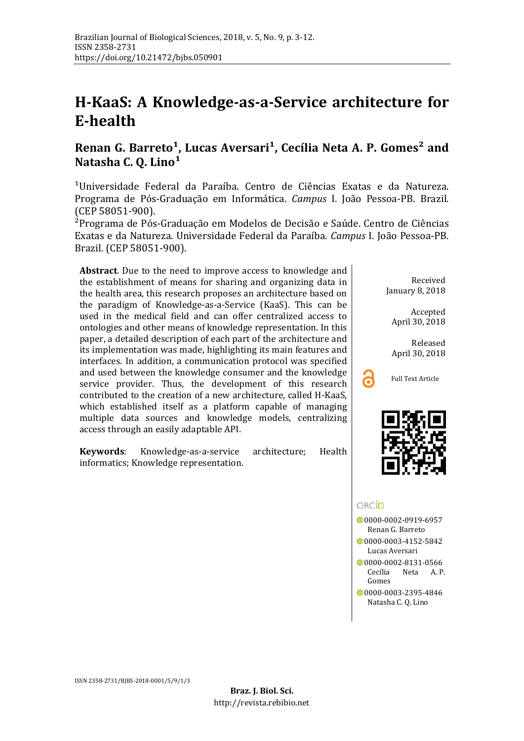# **H-KaaS: A Knowledge-as-a-Service architecture for E-health**

# **[Renan G. Barreto¹](mailto:renangbarreto@gmail.com), [Lucas Aversari¹](mailto:astecz360@gmail.com), [Cecília Neta A. P. Gomes²](mailto:netapegado@gmail.com) and**  Natasha C. O. Lino<sup>1</sup>

<sup>1</sup>Universidade Federal da Paraíba. Centro de Ciências Exatas e da Natureza. Programa de Pós-Graduação em Informática. *Campus* I. João Pessoa-PB. Brazil. (CEP 58051-900).

²Programa de Pós-Graduação em Modelos de Decisão e Saúde. Centro de Ciências Exatas e da Natureza. Universidade Federal da Paraíba. *Campus* I. Joã o Pessoa-PB. Brazil. (CEP 58051-900).

**Abstract**. Due to the need to improve access to knowledge and the establishment of means for sharing and organizing data in the health area, this research proposes an architecture based on the paradigm of Knowledge-as-a-Service (KaaS). This can be used in the medical field and can offer centralized access to ontologies and other means of knowledge representation. In this paper, a detailed description of each part of the architecture and its implementation was made, highlighting its main features and interfaces. In addition, a communication protocol was specified and used between the knowledge consumer and the knowledge service provider. Thus, the development of this research contributed to the creation of a new architecture, called H-KaaS, which established itself as a platform capable of managing multiple data sources and knowledge models, centralizing access through an easily adaptable API.

**Keywords**: Knowledge-as-a-service architecture; Health informatics; Knowledge representation.

Received January 8, 2018

Accepted April 30, 2018

Released April 30, 2018





# ORCID

0[0000-0002-0919-6957](https://orcid.org/0000-0002-0919-6957) Renan G. Barreto

0[0000-0003-4152-5842](https://orcid.org/0000-0003-4152-5842) Lucas Aversari

- [0000-0002-8131-0566](https://orcid.org/0000-0002-8131-0566) Cecília Neta A.P. Gomes
- [0000-0003-2395-4846](https://orcid.org/0000-0003-2395-4846) Natasha C. Q. Lino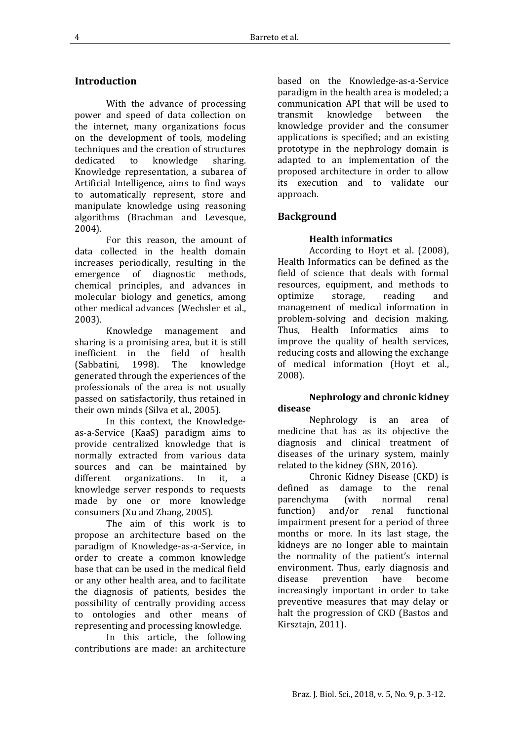#### **Introduction**

With the advance of processing power and speed of data collection on the internet, many organizations focus on the development of tools, modeling techniques and the creation of structures<br>dedicated to knowledge sharing. knowledge Knowledge representation, a subarea of Artificial Intelligence, aims to find ways to automatically represent, store and manipulate knowledge using reasoning algorithms (Brachman and Levesque, 2004).

For this reason, the amount of data collected in the health domain increases periodically, resulting in the emergence of diagnostic methods, chemical principles, and advances in molecular biology and genetics, among other medical advances (Wechsler et al., 2003).

Knowledge management and sharing is a promising area, but it is still<br>inefficient in the field of health inefficient in the field of health<br>(Sabbatini. 1998). The knowledge (Sabbatini, generated through the experiences of the professionals of the area is not usually passed on satisfactorily, thus retained in their own minds (Silva et al., 2005).

In this context, the Knowledgeas-a-Service (KaaS) paradigm aims to provide centralized knowledge that is normally extracted from various data sources and can be maintained by different organizations. In it, a organizations. In it, a knowledge server responds to requests made by one or more knowledge consumers (Xu and Zhang, 2005).

The aim of this work is to propose an architecture based on the paradigm of Knowledge-as-a-Service, in order to create a common knowledge base that can be used in the medical field or any other health area, and to facilitate the diagnosis of patients, besides the possibility of centrally providing access to ontologies and other means of representing and processing knowledge.

In this article, the following contributions are made: an architecture

based on the Knowledge-as-a-Service paradigm in the health area is modeled; a communication API that will be used to<br>transmit knowledge between the knowledge knowledge provider and the consumer applications is specified; and an existing prototype in the nephrology domain is adapted to an implementation of the proposed architecture in order to allow its execution and to validate our approach.

#### **Background**

#### **Health informatics**

According to Hoyt et al. (2008), Health Informatics can be defined as the field of science that deals with formal resources, equipment, and methods to<br>ontimize storage, reading and storage. management of medical information in problem-solving and decision making. Thus, Health Informatics aims to improve the quality of health services, reducing costs and allowing the exchange of medical information (Hoyt et al., 2008).

#### **Nephrology and chronic kidney disease**

Nephrology is an area of medicine that has as its objective the diagnosis and clinical treatment of diseases of the urinary system, mainly related to the kidney (SBN, 2016).

Chronic Kidney Disease (CKD) is<br>defined as damage to the renal damage to the renal<br>(with normal renal parenchyma (with normal renal<br>function) and/or renal functional  $function)$  and/or renal impairment present for a period of three months or more. In its last stage, the kidneys are no longer able to maintain the normality of the patient's internal environment. Thus, early diagnosis and<br>disease prevention have become prevention increasingly important in order to take preventive measures that may delay or halt the progression of CKD (Bastos and Kirsztajn, 2011).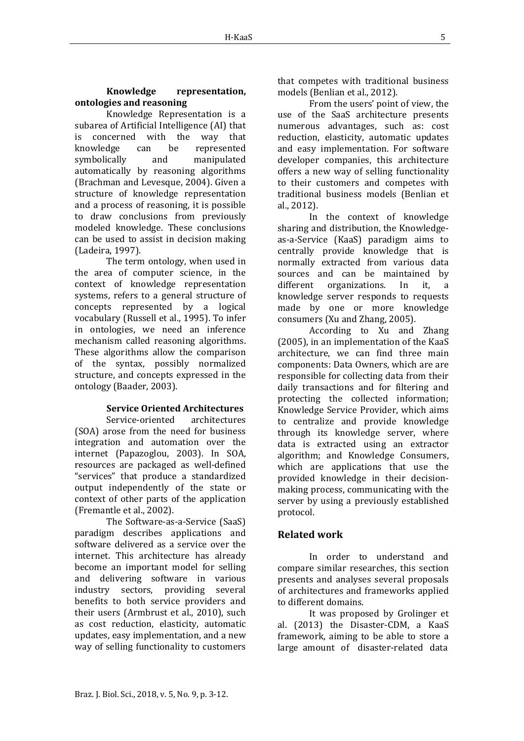#### **Knowledge representation, ontologies and reasoning**

Knowledge Representation is a subarea of Artificial Intelligence (AI) that<br>is concerned with the way that is concerned with the<br>knowledge can be know be represented<br>and manipulated symbolically automatically by reasoning algorithms (Brachman and Levesque, 2004). Given a structure of knowledge representation and a process of reasoning, it is possible to draw conclusions from previously modeled knowledge. These conclusions can be used to assist in decision making (Ladeira, 1997).

The term ontology, when used in the area of computer science, in the context of knowledge representation systems, refers to a general structure of concepts represented by a logical vocabulary (Russell et al., 1995). To infer in ontologies, we need an inference mechanism called reasoning algorithms. These algorithms allow the comparison of the syntax, possibly normalized structure, and concepts expressed in the ontology (Baader, 2003).

# **Service Oriented Architectures**

Service-oriented architectures (SOA) arose from the need for business integration and automation over the internet (Papazoglou, 2003). In SOA, resources are packaged as well-defined "services" that produce a standardized output independently of the state or context of other parts of the application (Fremantle et al., 2002).

The Software-as-a-Service (SaaS) paradigm describes applications and software delivered as a service over the internet. This architecture has already become an important model for selling and delivering software in various industry sectors, providing several benefits to both service providers and their users (Armbrust et al., 2010), such as cost reduction, elasticity, automatic updates, easy implementation, and a new way of selling functionality to customers

that competes with traditional business models (Benlian et al., 2012).

From the users' point of view, the use of the SaaS architecture presents numerous advantages, such as: cost reduction, elasticity, automatic updates and easy implementation. For software developer companies, this architecture offers a new way of selling functionality to their customers and competes with traditional business models (Benlian et al., 2012).

In the context of knowledge sharing and distribution, the Knowledgeas-a-Service (KaaS) paradigm aims to centrally provide knowledge that is normally extracted from various data sources and can be maintained by different organizations. In it, a organizations. In it, a knowledge server responds to requests made by one or more knowledge consumers (Xu and Zhang, 2005).

According to Xu and Zhang (2005), in an implementation of the KaaS architecture, we can find three main components: Data Owners, which are are responsible for collecting data from their daily transactions and for filtering and protecting the collected information; Knowledge Service Provider, which aims to centralize and provide knowledge through its knowledge server, where data is extracted using an extractor algorithm; and Knowledge Consumers, which are applications that use the provided knowledge in their decisionmaking process, communicating with the server by using a previously established protocol.

# **Related work**

In order to understand and compare similar researches, this section presents and analyses several proposals of architectures and frameworks applied to different domains.

It was proposed by Grolinger et al. (2013) the Disaster-CDM, a KaaS framework, aiming to be able to store a large amount of disaster-related data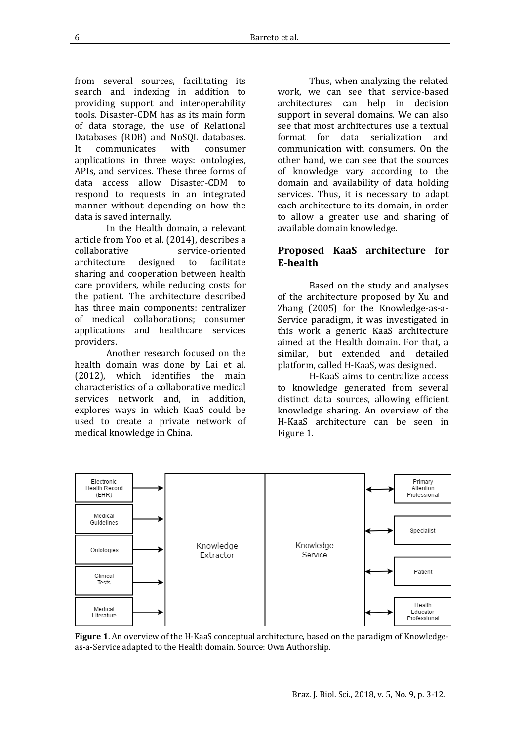from several sources, facilitating its search and indexing in addition to providing support and interoperability tools. Disaster-CDM has as its main form of data storage, the use of Relational Databases (RDB) and NoSQL databases.<br>It communicates with consumer communicates applications in three ways: ontologies, APIs, and services. These three forms of data access allow Disaster-CDM to respond to requests in an integrated manner without depending on how the data is saved internally.

In the Health domain, a relevant article from Yoo et al. (2014), describes a service-oriented<br>designed to facilitate architecture sharing and cooperation between health care providers, while reducing costs for the patient. The architecture described has three main components: centralizer of medical collaborations; consumer applications and healthcare services providers.

Another research focused on the health domain was done by Lai et al.<br>(2012), which identifies the main which identifies the main characteristics of a collaborative medical services network and, in addition, explores ways in which KaaS could be used to create a private network of medical knowledge in China.

Thus, when analyzing the related work, we can see that service-based architectures can help in decision support in several domains. We can also see that most architectures use a textual<br>format for data serialization and data serialization and communication with consumers. On the other hand, we can see that the sources of knowledge vary according to the domain and availability of data holding services. Thus, it is necessary to adapt each architecture to its domain, in order to allow a greater use and sharing of available domain knowledge.

# **Proposed KaaS architecture for E-health**

Based on the study and analyses of the architecture proposed by Xu and Zhang (2005) for the Knowledge-as-a-Service paradigm, it was investigated in this work a generic KaaS architecture aimed at the Health domain. For that, a similar, but extended and detailed platform, called H-KaaS, was designed.

H-KaaS aims to centralize access to knowledge generated from several distinct data sources, allowing efficient knowledge sharing. An overview of the H-KaaS architecture can be seen in Figure 1.



**Figure 1**. An overview of the H-KaaS conceptual architecture, based on the paradigm of Knowledgeas-a-Service adapted to the Health domain. Source: Own Authorship.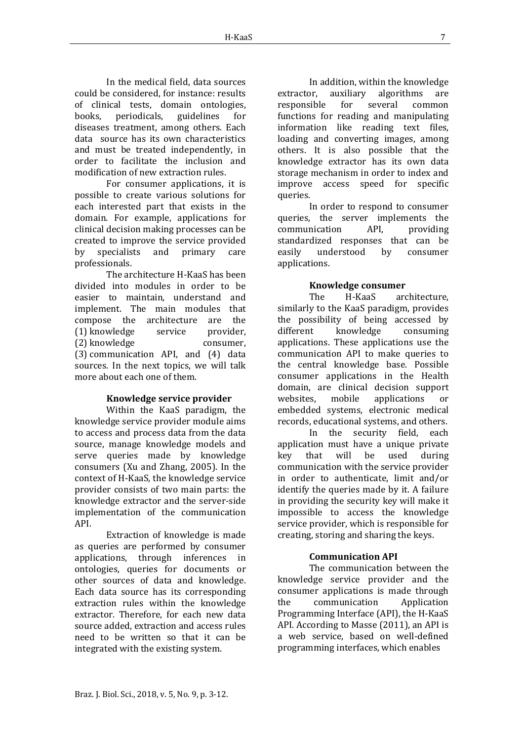In the medical field, data sources could be considered, for instance: results of clinical tests, domain ontologies,<br>books. periodicals. guidelines for beriodicals. diseases treatment, among others. Each data source has its own characteristics and must be treated independently, in order to facilitate the inclusion and modification of new extraction rules.

For consumer applications, it is possible to create various solutions for each interested part that exists in the domain. For example, applications for clinical decision making processes can be created to improve the service provided<br>by specialists and primary care specialists and professionals.

The architecture H-KaaS has been divided into modules in order to be easier to maintain, understand and implement. The main modules that compose the architecture are the<br>(1) knowledge service provider. (1) knowledge service provider,<br>(2) knowledge consumer. (2) knowledge (3) communication API, and (4) data sources. In the next topics, we will talk more about each one of them.

#### **Knowledge service provider**

Within the KaaS paradigm, the knowledge service provider module aims to access and process data from the data source, manage knowledge models and serve queries made by knowledge consumers (Xu and Zhang, 2005). In the context of H-KaaS, the knowledge service provider consists of two main parts: the knowledge extractor and the server-side implementation of the communication API.

Extraction of knowledge is made as queries are performed by consumer applications, through inferences in ontologies, queries for documents or other sources of data and knowledge. Each data source has its corresponding extraction rules within the knowledge extractor. Therefore, for each new data source added, extraction and access rules need to be written so that it can be integrated with the existing system.

In addition, within the knowledge<br>extractor. auxiliary algorithms are auxiliary algorithms are<br>for several common responsible functions for reading and manipulating information like reading text files, loading and converting images, among others. It is also possible that the knowledge extractor has its own data storage mechanism in order to index and improve access speed for specific queries.

In order to respond to consumer queries, the server implements the<br>communication API. providing communication standardized responses that can be<br>easily understood by consumer understood applications.

#### **Knowledge consumer**

The H-KaaS architecture, similarly to the KaaS paradigm, provides the possibility of being accessed by<br>different knowledge consuming different knowledge consuming applications. These applications use the communication API to make queries to the central knowledge base. Possible consumer applications in the Health domain, are clinical decision support<br>websites. mobile applications or applications embedded systems, electronic medical records, educational systems, and others.

In the security field, each application must have a unique private<br>key that will be used during key that will be used during communication with the service provider in order to authenticate, limit and/or identify the queries made by it. A failure in providing the security key will make it impossible to access the knowledge service provider, which is responsible for creating, storing and sharing the keys.

# **Communication API**

The communication between the knowledge service provider and the consumer applications is made through<br>the communication Application communication Programming Interface (API), the H-KaaS API. According to Masse (2011), an API is a web service, based on well-defined programming interfaces, which enables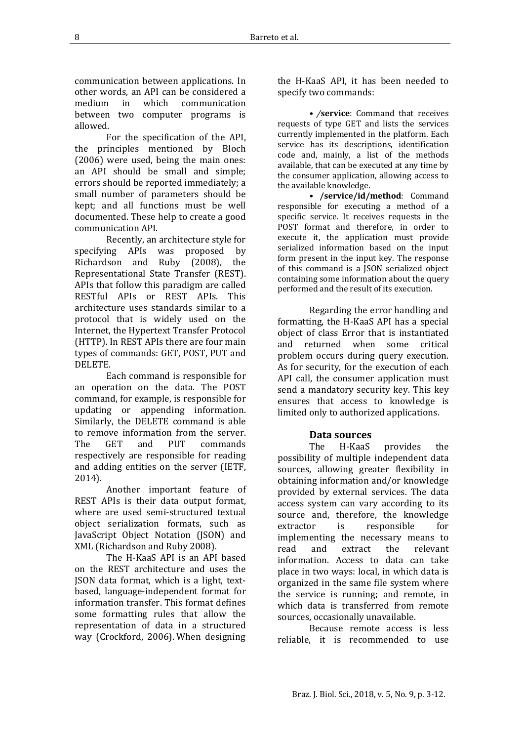Because remote access is less reliable, it is recommended to use

communication between applications. In other words, an API can be considered a<br>medium in which communication communication between two computer programs is allowed.

For the specification of the API, the principles mentioned by Bloch (2006) were used, being the main ones: an API should be small and simple; errors should be reported immediately; a small number of parameters should be kept; and all functions must be well documented. These help to create a good communication API.

Recently, an architecture style for specifying APIs was proposed by<br>Richardson and Ruby (2008), the Richardson and Ruby Representational State Transfer (REST). APIs that follow this paradigm are called RESTful APIs or REST APIs. This architecture uses standards similar to a protocol that is widely used on the Internet, the Hypertext Transfer Protocol (HTTP). In REST APIs there are four main types of commands: GET, POST, PUT and DELETE.

Each command is responsible for an operation on the data. The POST command, for example, is responsible for updating or appending information. Similarly, the DELETE command is able to remove information from the server.<br>The GET and PUT commands and PUT commands respectively are responsible for reading and adding entities on the server (IETF, 2014).

Another important feature of REST APIs is their data output format, where are used semi-structured textual object serialization formats, such as JavaScript Object Notation (JSON) and XML (Richardson and Ruby 2008).

The H-KaaS API is an API based on the REST architecture and uses the JSON data format, which is a light, textbased, language-independent format for information transfer. This format defines some formatting rules that allow the representation of data in a structured way (Crockford, 2006). When designing the H-KaaS API, it has been needed to specify two commands:

*• /***service**: Command that receives requests of type GET and lists the services currently implemented in the platform. Each service has its descriptions, identification code and, mainly, a list of the methods available, that can be executed at any time by the consumer application, allowing access to the available knowledge.

*•* **/service/id/method**: Command responsible for executing a method of a specific service. It receives requests in the POST format and therefore, in order to execute it, the application must provide serialized information based on the input form present in the input key. The response of this command is a JSON serialized object containing some information about the query performed and the result of its execution.

Regarding the error handling and formatting, the H-KaaS API has a special object of class Error that is instantiated and returned when some critical problem occurs during query execution. As for security, for the execution of each API call, the consumer application must send a mandatory security key. This key ensures that access to knowledge is limited only to authorized applications.

# **Data sources**

The H-KaaS provides the possibility of multiple independent data sources, allowing greater flexibility in obtaining information and/or knowledge provided by external services. The data access system can vary according to its source and, therefore, the knowledge<br>extractor is responsible for responsible implementing the necessary means to<br>read and extract the relevant read and extract the relevant information. Access to data can take place in two ways: local, in which data is organized in the same file system where the service is running; and remote, in which data is transferred from remote sources, occasionally unavailable.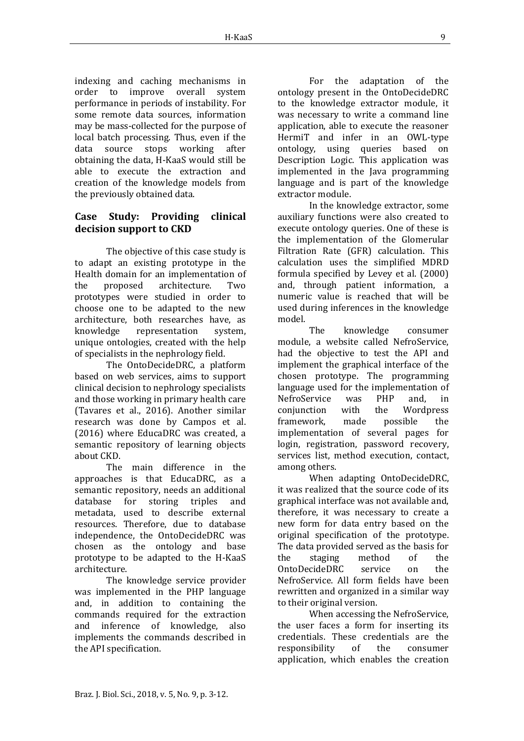indexing and caching mechanisms in<br>order to improve overall system order to improve overall performance in periods of instability. For some remote data sources, information may be mass-collected for the purpose of local batch processing. Thus, even if the<br>data source stops working after stops working obtaining the data, H-KaaS would still be able to execute the extraction and creation of the knowledge models from the previously obtained data.

# **Case Study: Providing clinical decision support to CKD**

The objective of this case study is to adapt an existing prototype in the Health domain for an implementation of<br>the proposed architecture. Two architecture. prototypes were studied in order to choose one to be adapted to the new architecture, both researches have, as<br>knowledge representation system. representation unique ontologies, created with the help of specialists in the nephrology field.

The OntoDecideDRC, a platform based on web services, aims to support clinical decision to nephrology specialists and those working in primary health care (Tavares et al., 2016). Another similar research was done by Campos et al. (2016) where EducaDRC was created, a semantic repository of learning objects about CKD.

The main difference in the approaches is that EducaDRC, as a semantic repository, needs an additional<br>database for storing triples and database for storing triples metadata, used to describe external resources. Therefore, due to database independence, the OntoDecideDRC was chosen as the ontology and base prototype to be adapted to the H-KaaS architecture.

The knowledge service provider was implemented in the PHP language and, in addition to containing the commands required for the extraction and inference of knowledge, also implements the commands described in the API specification.

For the adaptation of the ontology present in the OntoDecideDRC to the knowledge extractor module, it was necessary to write a command line application, able to execute the reasoner HermiT and infer in an OWL-type ontology, using queries based on Description Logic. This application was implemented in the Java programming language and is part of the knowledge extractor module.

In the knowledge extractor, some auxiliary functions were also created to execute ontology queries. One of these is the implementation of the Glomerular Filtration Rate (GFR) calculation. This calculation uses the simplified MDRD formula specified by Levey et al. (2000) and, through patient information, a numeric value is reached that will be used during inferences in the knowledge model.

The knowledge consumer module, a website called NefroService, had the objective to test the API and implement the graphical interface of the chosen prototype. The programming language used for the implementation of<br>NefroService was PHP and in NefroService was PHP and, in<br>conjunction with the Wordpress conjunction with the Wordpress<br>framework. made possible the framework. implementation of several pages for login, registration, password recovery, services list, method execution, contact, among others.

When adapting OntoDecideDRC, it was realized that the source code of its graphical interface was not available and, therefore, it was necessary to create a new form for data entry based on the original specification of the prototype. The data provided served as the basis for<br>the staging method of the staging method of the<br>cideDRC service on the OntoDecideDRC NefroService. All form fields have been rewritten and organized in a similar way to their original version.

When accessing the NefroService, the user faces a form for inserting its credentials. These credentials are the<br>responsibility of the consumer responsibility application, which enables the creation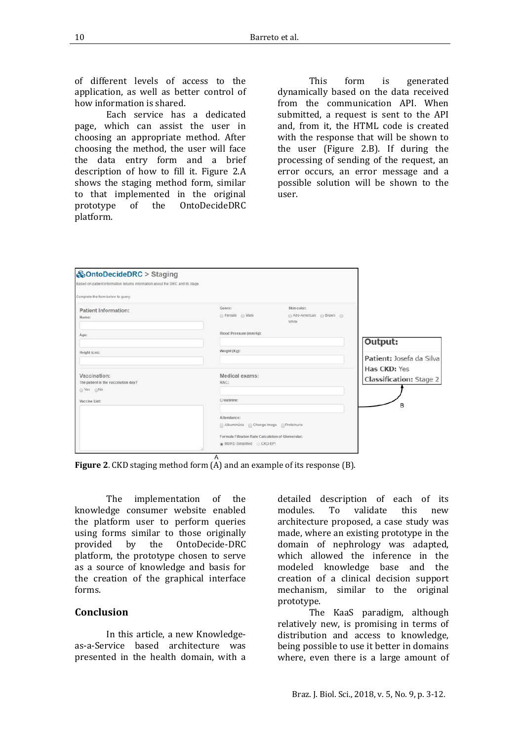of different levels of access to the application, as well as better control of how information is shared.

Each service has a dedicated page, which can assist the user in choosing an appropriate method. After choosing the method, the user will face the data entry form and a brief description of how to fill it. Figure 2.A shows the staging method form, similar to that implemented in the original<br>prototype of the OntoDecideDRC OntoDecideDRC platform.

This form is generated dynamically based on the data received from the communication API. When submitted, a request is sent to the API and, from it, the HTML code is created with the response that will be shown to the user (Figure 2.B). If during the processing of sending of the request, an error occurs, an error message and a possible solution will be shown to the user.

| <b>&amp;OntoDecideDRC</b> > Staging                                           |                                                                               |                                                 |                                                |
|-------------------------------------------------------------------------------|-------------------------------------------------------------------------------|-------------------------------------------------|------------------------------------------------|
| Based on patient information returns information about the DRC and its stage. |                                                                               |                                                 |                                                |
| Complete the form below to query:                                             |                                                                               |                                                 |                                                |
| <b>Patient Information:</b><br>Name:                                          | Genre:<br>G Female G Male                                                     | Skin color:<br>Afro-American @ Brown @<br>White |                                                |
| Age:                                                                          | Blood Pressure (mmHg):                                                        |                                                 | Output:                                        |
| Height (cm):                                                                  | Weight (Kg):                                                                  |                                                 | Patient: Josefa da Silva                       |
| Vaccination:<br>The patient is the vaccination day?<br>◎ Yes ◎No              | Medical exams:<br>RAC:                                                        |                                                 | Has CKD: Yes<br><b>Classification: Stage 2</b> |
| Vaccine List:                                                                 | Creatinine:                                                                   |                                                 | в                                              |
|                                                                               | Attendance:<br>Albuminuria ( Change Image Proteinuria                         |                                                 |                                                |
|                                                                               | Formula Filtration Rate Calculation of Glomerular:<br>MDRD Simplified CKD-EPI |                                                 |                                                |

**Figure 2**. CKD staging method form (A) and an example of its response (B).

The implementation of the knowledge consumer website enabled the platform user to perform queries using forms similar to those originally<br>provided by the OntoDecide-DRC the OntoDecide-DRC platform, the prototype chosen to serve as a source of knowledge and basis for the creation of the graphical interface forms.

#### **Conclusion**

In this article, a new Knowledgeas-a-Service based architecture was presented in the health domain, with a detailed description of each of its<br>modules. To validate this new modules. architecture proposed, a case study was made, where an existing prototype in the domain of nephrology was adapted, which allowed the inference in the modeled knowledge base and the creation of a clinical decision support mechanism, similar to the original prototype.

The KaaS paradigm, although relatively new, is promising in terms of distribution and access to knowledge, being possible to use it better in domains where, even there is a large amount of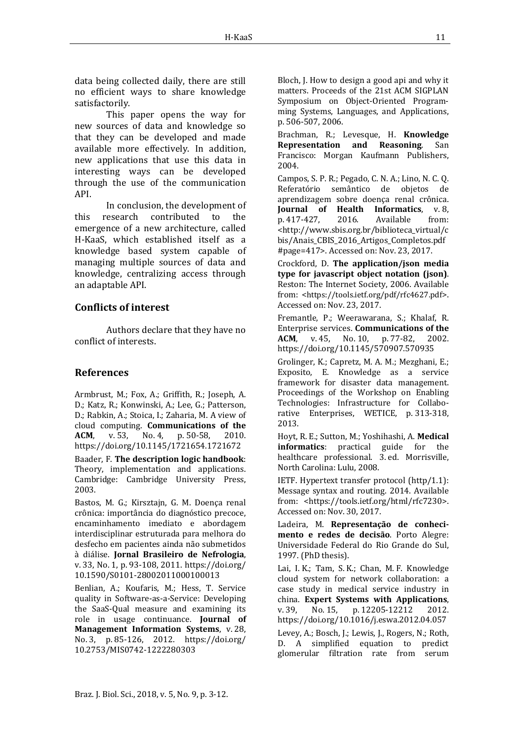data being collected daily, there are still no efficient ways to share knowledge satisfactorily.

This paper opens the way for new sources of data and knowledge so that they can be developed and made available more effectively. In addition, new applications that use this data in interesting ways can be developed through the use of the communication API.

In conclusion, the development of this research contributed to the emergence of a new architecture, called H-KaaS, which established itself as a knowledge based system capable of managing multiple sources of data and knowledge, centralizing access through an adaptable API.

# **Conflicts of interest**

Authors declare that they have no conflict of interests.

# **References**

Armbrust, M.; Fox, A.; Griffith, R.; Joseph, A. D.; Katz, R.; Konwinski, A.; Lee, G.; Patterson, D.; Rabkin, A.; Stoica, I.; Zaharia, M. A view of cloud computing. **Communications of the**  p. 50-58, <https://doi.org/10.1145/1721654.1721672>

Baader, F. **The description logic handbook**: Theory, implementation and applications. Cambridge: Cambridge University Press, 2003.

Bastos, M. G.; Kirsztajn, G. M. Doença renal crônica: importância do diagnóstico precoce, encaminhamento imediato e abordagem interdisciplinar estruturada para melhora do desfecho em pacientes ainda não submetidos à diálise. **Jornal Brasileiro de Nefrologia**, v. 33, No. 1, p. 93-108, 2011. [https://doi.org/](https://doi.org/10.1590/S0101-28002011000100013)  [10.1590/S0101-28002011000100013](https://doi.org/10.1590/S0101-28002011000100013)

Benlian, A.; Koufaris, M.; Hess, T. Service quality in Software-as-a-Service: Developing the SaaS-Qual measure and examining its role in usage continuance. **Journal of Management Information Systems**, v. 28, No. 3, p. 85-126, 2012. [https://doi.org/](https://doi.org/10.2753/MIS0742-1222280303)  [10.2753/MIS0742-1222280303](https://doi.org/10.2753/MIS0742-1222280303)

Bloch, J. How to design a good api and why it matters. Proceeds of the 21st ACM SIGPLAN Symposium on Object-Oriented Programming Systems, Languages, and Applications, p. 506-507, 2006.

Brachman, R.; Levesque, H. **Knowledge Representation and Reasoning.** Francisco: Morgan Kaufmann Publishers, 2004.

Campos, S. P. R.; Pegado, C. N. A.; Lino, N. C. Q. Referatório semântico de objetos de aprendizagem sobre doença renal crônica. **Journal of Health Informatics**, v.8, p. 417-427, 2016. Available from: p. 417-427, 2016. Available from: [<http://www.sbis.org.br/biblioteca\\_virtual/c](http://www.sbis.org.br/biblioteca_virtual/cbis/Anais_CBIS_2016_Artigos_Completos.pdf%23page=417) [bis/Anais\\_CBIS\\_2016\\_Artigos\\_Completos.pdf](http://www.sbis.org.br/biblioteca_virtual/cbis/Anais_CBIS_2016_Artigos_Completos.pdf%23page=417) [#page=417>](http://www.sbis.org.br/biblioteca_virtual/cbis/Anais_CBIS_2016_Artigos_Completos.pdf%23page=417). Accessed on: Nov. 23, 2017.

Crockford, D. **The application/json media type for javascript object notation (json)**. Reston: The Internet Society, 2006. Available from: [<https://tools.ietf.org/pdf/rfc4627.pdf>](https://tools.ietf.org/pdf/rfc4627.pdf). Accessed on: Nov. 23, 2017.

Fremantle, P.; Weerawarana, S.; Khalaf, R. Enterprise services. **Communications of the**  p. 77-82. <https://doi.org/10.1145/570907.570935>

Grolinger, K.; Capretz, M. A. M.; Mezghani, E.; Exposito, E. Knowledge as a service framework for disaster data management. Proceedings of the Workshop on Enabling Technologies: Infrastructure for Collaborative Enterprises, WETICE, p. 313-318, 2013.

Hoyt, R. E.; Sutton, M.; Yoshihashi, A. **Medical informatics**: practical guide for healthcare professional. 3. ed. Morrisville, North Carolina: Lulu, 2008.

IETF. Hypertext transfer protocol (http/1.1): Message syntax and routing. 2014. Available from: [<https:/](https://tools.ietf.org/html/rfc7230)/tools.ietf.org/html/rfc7230>. Accessed on: Nov. 30, 2017.

Ladeira, M. **Representação de conhecimento e redes de decisão**. Porto Alegre: Universidade Federal do Rio Grande do Sul, 1997. (PhD thesis).

Lai, I. K.; Tam, S. K.; Chan, M. F. Knowledge cloud system for network collaboration: a case study in medical service industry in china. **Expert Systems with Applications**, p. 12205-12212 <https://doi.org/10.1016/j.eswa.2012.04.057>

Levey, A.; Bosch, J.; Lewis, J., Rogers, N.; Roth, D. A simplified equation to predict glomerular filtration rate from serum